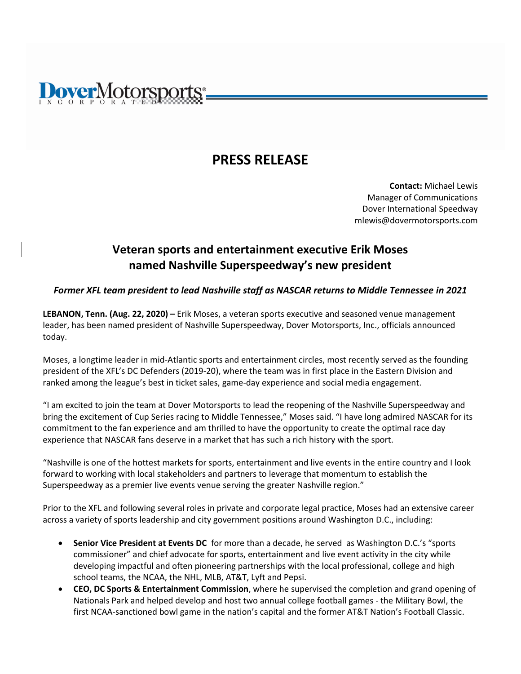# **overMotorsports**

## **PRESS RELEASE**

**Contact:** Michael Lewis Manager of Communications Dover International Speedway mlewis@dovermotorsports.com

### **Veteran sports and entertainment executive Erik Moses named Nashville Superspeedway's new president**

#### *Former XFL team president to lead Nashville staff as NASCAR returns to Middle Tennessee in 2021*

**LEBANON, Tenn. (Aug. 22, 2020) –** Erik Moses, a veteran sports executive and seasoned venue management leader, has been named president of Nashville Superspeedway, Dover Motorsports, Inc., officials announced today.

Moses, a longtime leader in mid-Atlantic sports and entertainment circles, most recently served as the founding president of the XFL's DC Defenders (2019-20), where the team was in first place in the Eastern Division and ranked among the league's best in ticket sales, game-day experience and social media engagement.

"I am excited to join the team at Dover Motorsports to lead the reopening of the Nashville Superspeedway and bring the excitement of Cup Series racing to Middle Tennessee," Moses said. "I have long admired NASCAR for its commitment to the fan experience and am thrilled to have the opportunity to create the optimal race day experience that NASCAR fans deserve in a market that has such a rich history with the sport.

"Nashville is one of the hottest markets for sports, entertainment and live events in the entire country and I look forward to working with local stakeholders and partners to leverage that momentum to establish the Superspeedway as a premier live events venue serving the greater Nashville region."

Prior to the XFL and following several roles in private and corporate legal practice, Moses had an extensive career across a variety of sports leadership and city government positions around Washington D.C., including:

- **Senior Vice President at Events DC** for more than a decade, he served as Washington D.C.'s "sports commissioner" and chief advocate for sports, entertainment and live event activity in the city while developing impactful and often pioneering partnerships with the local professional, college and high school teams, the NCAA, the NHL, MLB, AT&T, Lyft and Pepsi.
- **CEO, DC Sports & Entertainment Commission**, where he supervised the completion and grand opening of Nationals Park and helped develop and host two annual college football games - the Military Bowl, the first NCAA-sanctioned bowl game in the nation's capital and the former AT&T Nation's Football Classic.